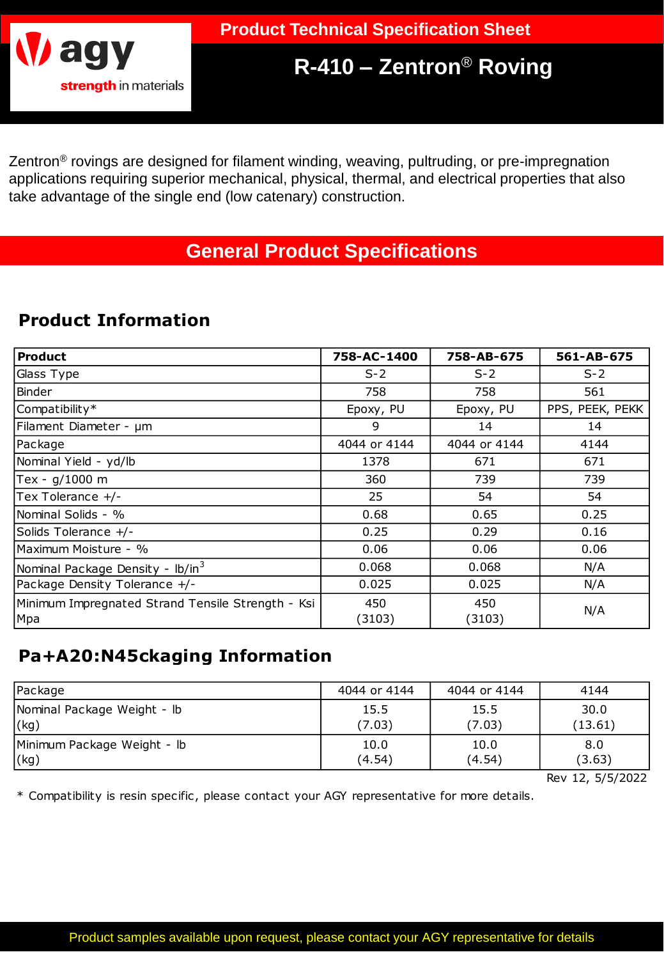

# **R-410 – Zentron**® **Roving**

Zentron® rovings are designed for filament winding, weaving, pultruding, or pre-impregnation applications requiring superior mechanical, physical, thermal, and electrical properties that also take advantage of the single end (low catenary) construction.

## **General Product Specifications**

## **Product Information**

| <b>Product</b>                                           | 758-AC-1400   | 758-AB-675    | 561-AB-675      |  |
|----------------------------------------------------------|---------------|---------------|-----------------|--|
| Glass Type                                               | $S-2$         | $S-2$         | $S-2$           |  |
| Binder                                                   | 758           | 758           | 561             |  |
| Compatibility*                                           | Epoxy, PU     | Epoxy, PU     | PPS, PEEK, PEKK |  |
| Filament Diameter - µm                                   | 9             | 14            | 14              |  |
| Package                                                  | 4044 or 4144  | 4044 or 4144  | 4144            |  |
| Nominal Yield - yd/lb                                    | 1378          | 671           | 671             |  |
| Tex - g/1000 m                                           | 360           | 739           | 739             |  |
| Tex Tolerance +/-                                        | 25            | 54            | 54              |  |
| Nominal Solids - %                                       | 0.68          | 0.65          | 0.25            |  |
| Solids Tolerance +/-                                     | 0.25          | 0.29          | 0.16            |  |
| Maximum Moisture - %                                     | 0.06          | 0.06          | 0.06            |  |
| Nominal Package Density - lb/in <sup>3</sup>             | 0.068         | 0.068         | N/A             |  |
| Package Density Tolerance +/-                            | 0.025         | 0.025         | N/A             |  |
| Minimum Impregnated Strand Tensile Strength - Ksi<br>Mpa | 450<br>(3103) | 450<br>(3103) | N/A             |  |

## **Pa+A20:N45ckaging Information**

| Package                     | 4044 or 4144 | 4044 or 4144 | 4144    |
|-----------------------------|--------------|--------------|---------|
| Nominal Package Weight - Ib | 15.5         | 15.5         | 30.0    |
| (kg)                        | (7.03)       | (7.03)       | (13.61) |
| Minimum Package Weight - Ib | 10.0         | 10.0         | 8.0     |
| (kg)                        | (4.54)       | (4.54)       | (3.63)  |

Rev 12, 5/5/2022

\* Compatibility is resin specific , please contact your AGY representative for more details.